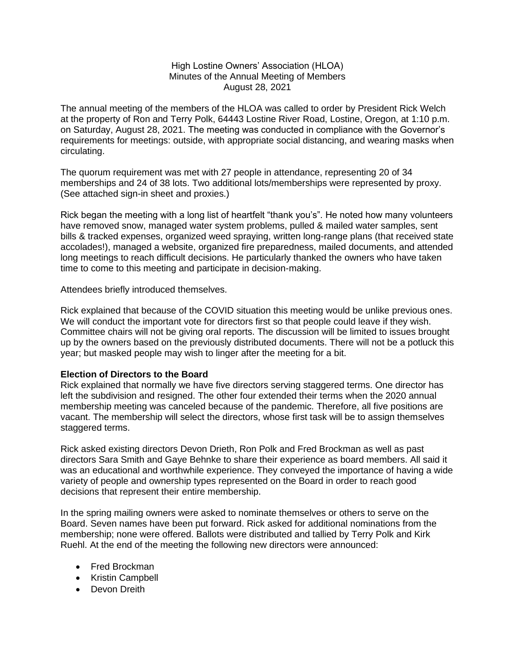## High Lostine Owners' Association (HLOA) Minutes of the Annual Meeting of Members August 28, 2021

The annual meeting of the members of the HLOA was called to order by President Rick Welch at the property of Ron and Terry Polk, 64443 Lostine River Road, Lostine, Oregon, at 1:10 p.m. on Saturday, August 28, 2021. The meeting was conducted in compliance with the Governor's requirements for meetings: outside, with appropriate social distancing, and wearing masks when circulating.

The quorum requirement was met with 27 people in attendance, representing 20 of 34 memberships and 24 of 38 lots. Two additional lots/memberships were represented by proxy. (See attached sign-in sheet and proxies.)

Rick began the meeting with a long list of heartfelt "thank you's". He noted how many volunteers have removed snow, managed water system problems, pulled & mailed water samples, sent bills & tracked expenses, organized weed spraying, written long-range plans (that received state accolades!), managed a website, organized fire preparedness, mailed documents, and attended long meetings to reach difficult decisions. He particularly thanked the owners who have taken time to come to this meeting and participate in decision-making.

Attendees briefly introduced themselves.

Rick explained that because of the COVID situation this meeting would be unlike previous ones. We will conduct the important vote for directors first so that people could leave if they wish. Committee chairs will not be giving oral reports. The discussion will be limited to issues brought up by the owners based on the previously distributed documents. There will not be a potluck this year; but masked people may wish to linger after the meeting for a bit.

### **Election of Directors to the Board**

Rick explained that normally we have five directors serving staggered terms. One director has left the subdivision and resigned. The other four extended their terms when the 2020 annual membership meeting was canceled because of the pandemic. Therefore, all five positions are vacant. The membership will select the directors, whose first task will be to assign themselves staggered terms.

Rick asked existing directors Devon Drieth, Ron Polk and Fred Brockman as well as past directors Sara Smith and Gaye Behnke to share their experience as board members. All said it was an educational and worthwhile experience. They conveyed the importance of having a wide variety of people and ownership types represented on the Board in order to reach good decisions that represent their entire membership.

In the spring mailing owners were asked to nominate themselves or others to serve on the Board. Seven names have been put forward. Rick asked for additional nominations from the membership; none were offered. Ballots were distributed and tallied by Terry Polk and Kirk Ruehl. At the end of the meeting the following new directors were announced:

- Fred Brockman
- Kristin Campbell
- Devon Dreith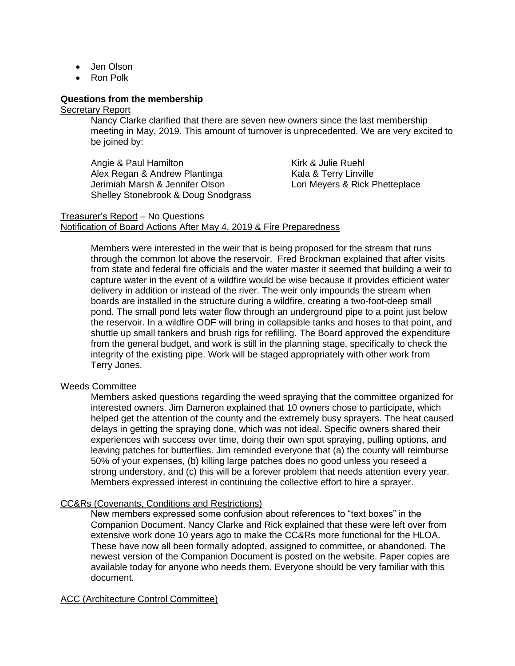- Jen Olson
- Ron Polk

## **Questions from the membership**

### Secretary Report

Nancy Clarke clarified that there are seven new owners since the last membership meeting in May, 2019. This amount of turnover is unprecedented. We are very excited to be joined by:

Angie & Paul Hamilton Alex Regan & Andrew Plantinga Jerimiah Marsh & Jennifer Olson Shelley Stonebrook & Doug Snodgrass Kirk & Julie Ruehl Kala & Terry Linville Lori Meyers & Rick Phetteplace

### Treasurer's Report – No Questions Notification of Board Actions After May 4, 2019 & Fire Preparedness

Members were interested in the weir that is being proposed for the stream that runs through the common lot above the reservoir. Fred Brockman explained that after visits from state and federal fire officials and the water master it seemed that building a weir to capture water in the event of a wildfire would be wise because it provides efficient water delivery in addition or instead of the river. The weir only impounds the stream when boards are installed in the structure during a wildfire, creating a two-foot-deep small pond. The small pond lets water flow through an underground pipe to a point just below the reservoir. In a wildfire ODF will bring in collapsible tanks and hoses to that point, and shuttle up small tankers and brush rigs for refilling. The Board approved the expenditure from the general budget, and work is still in the planning stage, specifically to check the integrity of the existing pipe. Work will be staged appropriately with other work from Terry Jones.

### Weeds Committee

Members asked questions regarding the weed spraying that the committee organized for interested owners. Jim Dameron explained that 10 owners chose to participate, which helped get the attention of the county and the extremely busy sprayers. The heat caused delays in getting the spraying done, which was not ideal. Specific owners shared their experiences with success over time, doing their own spot spraying, pulling options, and leaving patches for butterflies. Jim reminded everyone that (a) the county will reimburse 50% of your expenses, (b) killing large patches does no good unless you reseed a strong understory, and (c) this will be a forever problem that needs attention every year. Members expressed interest in continuing the collective effort to hire a sprayer.

### CC&Rs (Covenants, Conditions and Restrictions)

New members expressed some confusion about references to "text boxes" in the Companion Document. Nancy Clarke and Rick explained that these were left over from extensive work done 10 years ago to make the CC&Rs more functional for the HLOA. These have now all been formally adopted, assigned to committee, or abandoned. The newest version of the Companion Document is posted on the website. Paper copies are available today for anyone who needs them. Everyone should be very familiar with this document.

# ACC (Architecture Control Committee)